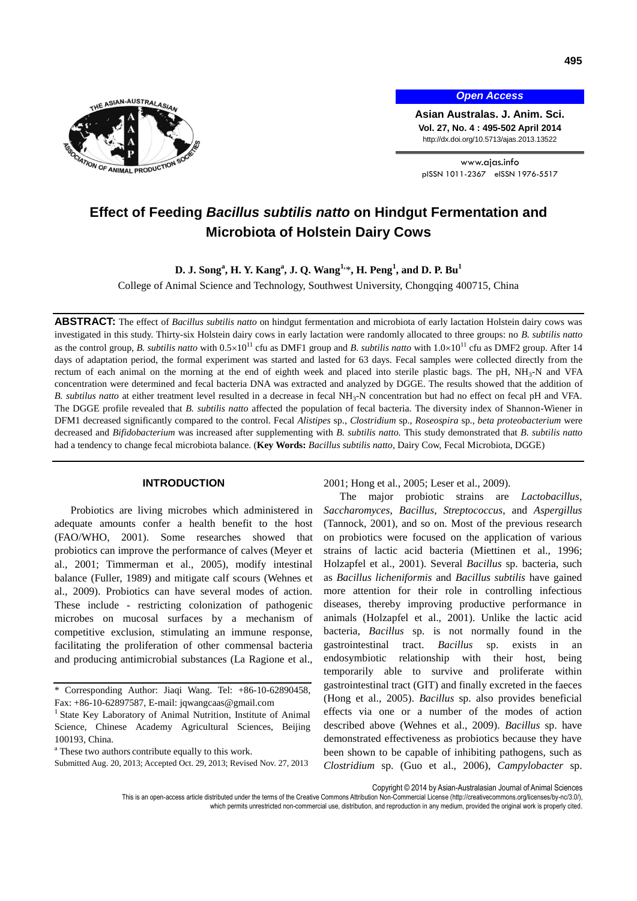

*Open Access*

**Asian Australas. J. Anim. Sci. Vol. 27, No. 4 : 495-502 April 2014** http://dx.doi.org/10.5713/ajas.2013.13522

www.ajas.info pISSN 1011-2367 eISSN 1976-5517

# **Effect of Feeding** *Bacillus subtilis natto* **on Hindgut Fermentation and Microbiota of Holstein Dairy Cows**

**D. J. Song<sup>a</sup> , H. Y. Kang<sup>a</sup> , J. Q. Wang1,** \***, H. Peng<sup>1</sup> , and D. P. Bu<sup>1</sup>**

College of Animal Science and Technology, Southwest University, Chongqing 400715, China

**ABSTRACT:** The effect of *Bacillus subtilis natto* on hindgut fermentation and microbiota of early lactation Holstein dairy cows was investigated in this study. Thirty-six Holstein dairy cows in early lactation were randomly allocated to three groups: no *B. subtilis natto*  as the control group, *B. subtilis natto* with  $0.5 \times 10^{11}$  cfu as DMF1 group and *B. subtilis natto* with  $1.0 \times 10^{11}$  cfu as DMF2 group. After 14 days of adaptation period, the formal experiment was started and lasted for 63 days. Fecal samples were collected directly from the rectum of each animal on the morning at the end of eighth week and placed into sterile plastic bags. The pH, NH<sub>3</sub>-N and VFA concentration were determined and fecal bacteria DNA was extracted and analyzed by DGGE. The results showed that the addition of B. subtilus natto at either treatment level resulted in a decrease in fecal NH<sub>3</sub>-N concentration but had no effect on fecal pH and VFA. The DGGE profile revealed that *B. subtilis natto* affected the population of fecal bacteria. The diversity index of Shannon-Wiener in DFM1 decreased significantly compared to the control. Fecal *Alistipes* sp., *Clostridium* sp., *Roseospira* sp., *beta proteobacterium* were decreased and *Bifidobacterium* was increased after supplementing with *B. subtilis natto.* This study demonstrated that *B. subtilis natto* had a tendency to change fecal microbiota balance. (**Key Words:** *Bacillus subtilis natto*, Dairy Cow, Fecal Microbiota, DGGE)

#### **INTRODUCTION**

Probiotics are living microbes which administered in adequate amounts confer a health benefit to the host (FAO/WHO, 2001). Some researches showed that probiotics can improve the performance of calves (Meyer et al., 2001; Timmerman et al., 2005), modify intestinal balance (Fuller, 1989) and mitigate calf scours (Wehnes et al., 2009). Probiotics can have several modes of action. These include - restricting colonization of pathogenic microbes on mucosal surfaces by a mechanism of competitive exclusion, stimulating an immune response, facilitating the proliferation of other commensal bacteria and producing antimicrobial substances (La Ragione et al.,

2001; Hong et al., 2005; Leser et al., 2009).

The major probiotic strains are *Lactobacillus*, *Saccharomyces*, *Bacillus*, *Streptococcus*, and *Aspergillus* (Tannock, 2001), and so on. Most of the previous research on probiotics were focused on the application of various strains of lactic acid bacteria (Miettinen et al., 1996; Holzapfel et al., 2001). Several *Bacillus* sp. bacteria, such as *Bacillus licheniformis* and *Bacillus subtilis* have gained more attention for their role in controlling infectious diseases, thereby improving productive performance in animals (Holzapfel et al., 2001). Unlike the lactic acid bacteria, *Bacillus* sp. is not normally found in the gastrointestinal tract. *Bacillus* sp. exists in an endosymbiotic relationship with their host, being temporarily able to survive and proliferate within gastrointestinal tract (GIT) and finally excreted in the faeces (Hong et al., 2005). *Bacillus* sp. also provides beneficial effects via one or a number of the modes of action described above (Wehnes et al., 2009). *Bacillus* sp. have demonstrated effectiveness as probiotics because they have been shown to be capable of inhibiting pathogens, such as *Clostridium* sp. (Guo et al., 2006), *Campylobacter* sp.

<sup>\*</sup> Corresponding Author: Jiaqi Wang. Tel: +86-10-62890458, Fax: +86-10-62897587, E-mail: [jqwangcaas@gmail.com](mailto:jqwangcaas@gmail.com)

<sup>&</sup>lt;sup>1</sup> State Key Laboratory of Animal Nutrition, Institute of Animal Science, Chinese Academy Agricultural Sciences, Beijing 100193, China.

<sup>&</sup>lt;sup>a</sup> These two authors contribute equally to this work.

Submitted Aug. 20, 2013; Accepted Oct. 29, 2013; Revised Nov. 27, 2013

Copyright © 2014 by Asian-Australasian Journal of Animal Sciences

This is an open-access article distributed under the terms of the Creative Commons Attribution Non-Commercial License [\(http://creativecommons.org/licenses/by-nc/3.0/\),](http://creativecommons.org/licenses/by-nc/3.0/) which permits unrestricted non-commercial use, distribution, and reproduction in any medium, provided the original work is properly cited.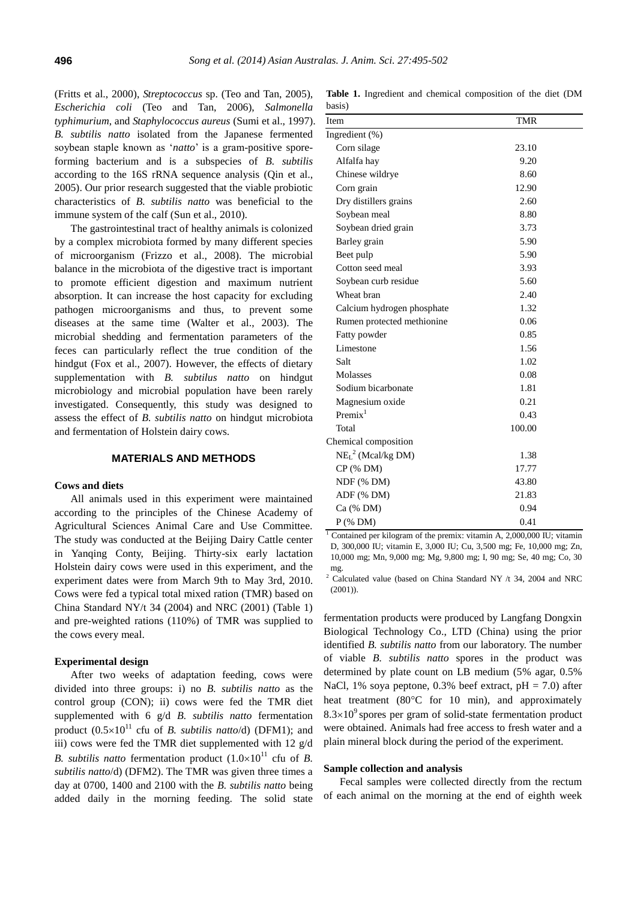(Fritts et al., 2000), *Streptococcus* sp. (Teo and Tan, 2005), *Escherichia coli* (Teo and Tan, 2006), *Salmonella typhimurium*, and *Staphylococcus aureus* (Sumi et al., 1997). *B. subtilis natto* isolated from the Japanese fermented soybean staple known as '*natto*' is a gram-positive sporeforming bacterium and is a subspecies of *B. subtilis* according to the 16S rRNA sequence analysis (Qin et al., 2005). Our prior research suggested that the viable probiotic characteristics of *B. subtilis natto* was beneficial to the immune system of the calf (Sun et al., 2010).

The gastrointestinal tract of healthy animals is colonized by a complex microbiota formed by many different species of microorganism (Frizzo et al., 2008). The microbial balance in the microbiota of the digestive tract is important to promote efficient digestion and maximum nutrient absorption. It can increase the host capacity for excluding pathogen microorganisms and thus, to prevent some diseases at the same time (Walter et al., 2003). The microbial shedding and fermentation parameters of the feces can particularly reflect the true condition of the hindgut (Fox et al., 2007). However, the effects of dietary supplementation with *B. subtilus natto* on hindgut microbiology and microbial population have been rarely investigated. Consequently, this study was designed to assess the effect of *B. subtilis natto* on hindgut microbiota and fermentation of Holstein dairy cows.

#### **MATERIALS AND METHODS**

## **Cows and diets**

All animals used in this experiment were maintained according to the principles of the Chinese Academy of Agricultural Sciences Animal Care and Use Committee. The study was conducted at the Beijing Dairy Cattle center in Yanqing Conty, Beijing. Thirty-six early lactation Holstein dairy cows were used in this experiment, and the experiment dates were from March 9th to May 3rd, 2010. Cows were fed a typical total mixed ration (TMR) based on China Standard NY/t 34 (2004) and NRC (2001) (Table 1) and pre-weighted rations (110%) of TMR was supplied to the cows every meal.

# **Experimental design**

After two weeks of adaptation feeding, cows were divided into three groups: i) no *B. subtilis natto* as the control group (CON); ii) cows were fed the TMR diet supplemented with 6 g/d *B. subtilis natto* fermentation product  $(0.5\times10^{11}$  cfu of *B. subtilis natto*/d) (DFM1); and iii) cows were fed the TMR diet supplemented with 12 g/d *B. subtilis natto* fermentation product  $(1.0 \times 10^{11} \text{ cftu of } B)$ . *subtilis natto*/d) (DFM2). The TMR was given three times a day at 0700, 1400 and 2100 with the *B. subtilis natto* being added daily in the morning feeding. The solid state

**Table 1.** Ingredient and chemical composition of the diet (DM basis)

| Item                       | <b>TMR</b> |  |
|----------------------------|------------|--|
| Ingredient (%)             |            |  |
| Corn silage                | 23.10      |  |
| Alfalfa hay                | 9.20       |  |
| Chinese wildrye            | 8.60       |  |
| Corn grain                 | 12.90      |  |
| Dry distillers grains      | 2.60       |  |
| Soybean meal               | 8.80       |  |
| Soybean dried grain        | 3.73       |  |
| Barley grain               | 5.90       |  |
| Beet pulp                  | 5.90       |  |
| Cotton seed meal           | 3.93       |  |
| Soybean curb residue       | 5.60       |  |
| Wheat bran                 | 2.40       |  |
| Calcium hydrogen phosphate | 1.32       |  |
| Rumen protected methionine | 0.06       |  |
| Fatty powder               | 0.85       |  |
| Limestone                  | 1.56       |  |
| Salt                       | 1.02       |  |
| Molasses                   | 0.08       |  |
| Sodium bicarbonate         | 1.81       |  |
| Magnesium oxide            | 0.21       |  |
| Premix <sup>1</sup>        | 0.43       |  |
| Total                      | 100.00     |  |
| Chemical composition       |            |  |
| $NEL2 (Mcal/kg DM)$        | 1.38       |  |
| $CP$ (% DM)                | 17.77      |  |
| NDF (% DM)                 | 43.80      |  |
| ADF (% DM)                 | 21.83      |  |
| Ca (% DM)                  | 0.94       |  |
| $P$ (% DM)                 | 0.41       |  |

<sup>1</sup> Contained per kilogram of the premix: vitamin A, 2,000,000 IU; vitamin D, 300,000 IU; vitamin E, 3,000 IU; Cu, 3,500 mg; Fe, 10,000 mg; Zn, 10,000 mg; Mn, 9,000 mg; Mg, 9,800 mg; I, 90 mg; Se, 40 mg; Co, 30 mg.

<sup>2</sup> Calculated value (based on China Standard NY /t 34, 2004 and NRC  $(2001)$ ).

fermentation products were produced by Langfang Dongxin Biological Technology Co., LTD (China) using the prior identified *B. subtilis natto* from our laboratory. The number of viable *B. subtilis natto* spores in the product was determined by plate count on LB medium (5% agar, 0.5% NaCl, 1% soya peptone,  $0.3%$  beef extract, pH = 7.0) after heat treatment  $(80^{\circ}$ C for 10 min), and approximately  $8.3\times10^{9}$  spores per gram of solid-state fermentation product were obtained. Animals had free access to fresh water and a plain mineral block during the period of the experiment.

## **Sample collection and analysis**

Fecal samples were collected directly from the rectum of each animal on the morning at the end of eighth week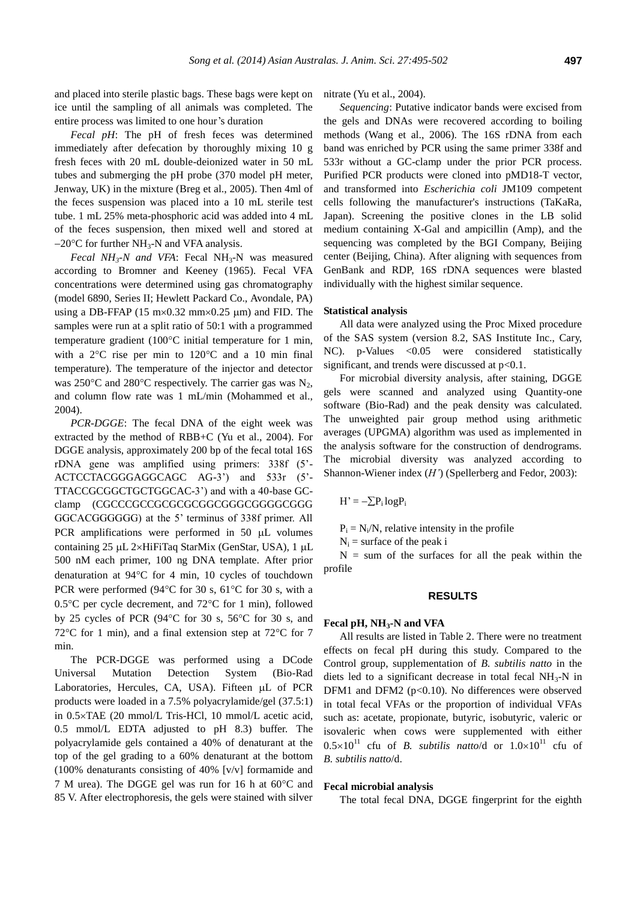and placed into sterile plastic bags. These bags were kept on ice until the sampling of all animals was completed. The entire process was limited to one hour's duration

*Fecal pH*: The pH of fresh feces was determined immediately after defecation by thoroughly mixing 10 g fresh feces with 20 mL double-deionized water in 50 mL tubes and submerging the pH probe (370 model pH meter, Jenway, UK) in the mixture (Breg et al., 2005). Then 4ml of the feces suspension was placed into a 10 mL sterile test tube. 1 mL 25% meta-phosphoric acid was added into 4 mL of the feces suspension, then mixed well and stored at  $-20^{\circ}$ C for further NH<sub>3</sub>-N and VFA analysis.

*Fecal NH*<sub>3</sub>-*N and VFA*: Fecal NH<sub>3</sub>-N was measured according to Bromner and Keeney (1965). Fecal VFA concentrations were determined using gas chromatography (model 6890, Series II; Hewlett Packard Co., Avondale, PA) using a DB-FFAP (15 m $\times$ 0.32 mm $\times$ 0.25  $\mu$ m) and FID. The samples were run at a split ratio of 50:1 with a programmed temperature gradient  $(100^{\circ}$ C initial temperature for 1 min, with a  $2^{\circ}$ C rise per min to  $120^{\circ}$ C and a 10 min final temperature). The temperature of the injector and detector was 250 $\degree$ C and 280 $\degree$ C respectively. The carrier gas was N<sub>2</sub>, and column flow rate was 1 mL/min (Mohammed et al., 2004).

*PCR-DGGE*: The fecal DNA of the eight week was extracted by the method of RBB+C (Yu et al., 2004). For DGGE analysis, approximately 200 bp of the fecal total 16S rDNA gene was amplified using primers: 338f (5'- ACTCCTACGGGAGGCAGC AG-3') and 533r (5'- TTACCGCGGCTGCTGGCAC-3') and with a 40-base GCclamp (CGCCCGCCGCGCGCGGCGGGCGGGGCGGG GGCACGGGGGG) at the 5' terminus of 338f primer. All PCR amplifications were performed in  $50$   $\mu$ L volumes containing  $25 \mu L$  2×HiFiTaq StarMix (GenStar, USA), 1  $\mu L$ 500 nM each primer, 100 ng DNA template. After prior denaturation at 94°C for 4 min, 10 cycles of touchdown PCR were performed (94 $\degree$ C for 30 s, 61 $\degree$ C for 30 s, with a 0.5 $\degree$ C per cycle decrement, and 72 $\degree$ C for 1 min), followed by 25 cycles of PCR (94 $\degree$ C for 30 s, 56 $\degree$ C for 30 s, and 72 $\degree$ C for 1 min), and a final extension step at 72 $\degree$ C for 7 min.

The PCR-DGGE was performed using a DCode Universal Mutation Detection System (Bio-Rad Laboratories, Hercules, CA, USA). Fifteen uL of PCR products were loaded in a 7.5% polyacrylamide/gel (37.5:1) in 0.5TAE (20 mmol/L Tris-HCl, 10 mmol/L acetic acid, 0.5 mmol/L EDTA adjusted to pH 8.3) buffer. The polyacrylamide gels contained a 40% of denaturant at the top of the gel grading to a 60% denaturant at the bottom (100% denaturants consisting of 40% [v/v] formamide and 7 M urea). The DGGE gel was run for 16 h at  $60^{\circ}$ C and 85 V. After electrophoresis, the gels were stained with silver

nitrate (Yu et al., 2004).

*Sequencing*: Putative indicator bands were excised from the gels and DNAs were recovered according to boiling methods (Wang et al., 2006). The 16S rDNA from each band was enriched by PCR using the same primer 338f and 533r without a GC-clamp under the prior PCR process. Purified PCR products were cloned into pMD18-T vector, and transformed into *Escherichia coli* JM109 competent cells following the manufacturer's instructions (TaKaRa, Japan). Screening the positive clones in the LB solid medium containing X-Gal and ampicillin (Amp), and the sequencing was completed by the BGI Company, Beijing center (Beijing, China). After aligning with sequences from GenBank and RDP, 16S rDNA sequences were blasted individually with the highest similar sequence.

#### **Statistical analysis**

All data were analyzed using the Proc Mixed procedure of the SAS system (version 8.2, SAS Institute Inc., Cary, NC). p-Values <0.05 were considered statistically significant, and trends were discussed at  $p<0.1$ .

For microbial diversity analysis, after staining, DGGE gels were scanned and analyzed using Quantity-one software (Bio-Rad) and the peak density was calculated. The unweighted pair group method using arithmetic averages (UPGMA) algorithm was used as implemented in the analysis software for the construction of dendrograms. The microbial diversity was analyzed according to Shannon-Wiener index (*H'*) (Spellerberg and Fedor, 2003):

 $H' = -\sum P_i \log P_i$ 

 $P_i = N_i/N$ , relative intensity in the profile

 $N_i$  = surface of the peak i

 $N =$  sum of the surfaces for all the peak within the profile

## **RESULTS**

#### **Fecal pH, NH3-N and VFA**

All results are listed in Table 2. There were no treatment effects on fecal pH during this study. Compared to the Control group, supplementation of *B. subtilis natto* in the diets led to a significant decrease in total fecal  $NH_3-N$  in DFM1 and DFM2 (p<0.10). No differences were observed in total fecal VFAs or the proportion of individual VFAs such as: acetate, propionate, butyric, isobutyric, valeric or isovaleric when cows were supplemented with either  $0.5 \times 10^{11}$  cfu of *B. subtilis natto*/d or  $1.0 \times 10^{11}$  cfu of *B. subtilis natto*/d.

#### **Fecal microbial analysis**

The total fecal DNA, DGGE fingerprint for the eighth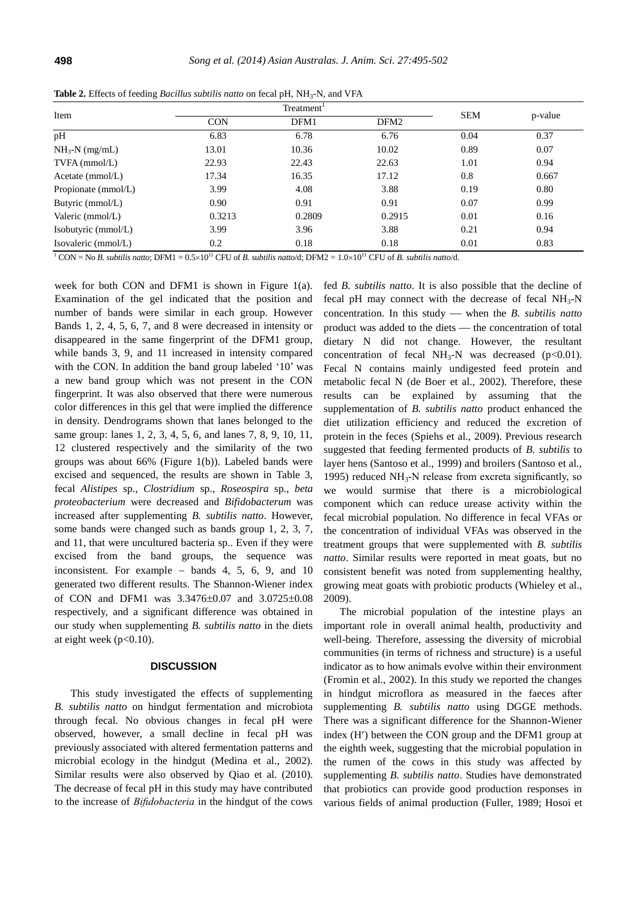| Treatment <sup>1</sup> |        |                  |      |            |
|------------------------|--------|------------------|------|------------|
| <b>CON</b>             | DFM1   | DFM <sub>2</sub> |      | p-value    |
| 6.83                   | 6.78   | 6.76             | 0.04 | 0.37       |
| 13.01                  | 10.36  | 10.02            | 0.89 | 0.07       |
| 22.93                  | 22.43  | 22.63            | 1.01 | 0.94       |
| 17.34                  | 16.35  | 17.12            | 0.8  | 0.667      |
| 3.99                   | 4.08   | 3.88             | 0.19 | 0.80       |
| 0.90                   | 0.91   | 0.91             | 0.07 | 0.99       |
| 0.3213                 | 0.2809 | 0.2915           | 0.01 | 0.16       |
| 3.99                   | 3.96   | 3.88             | 0.21 | 0.94       |
| 0.2                    | 0.18   | 0.18             | 0.01 | 0.83       |
|                        |        |                  |      | <b>SEM</b> |

**Table 2.** Effects of feeding *Bacillus subtilis natto* on fecal pH, NH<sub>3</sub>-N, and VFA

<sup>1</sup> CON = No *B. subtilis natto*; DFM1 =  $0.5\times10^{11}$  CFU of *B. subtilis natto*/d; DFM2 =  $1.0\times10^{11}$  CFU of *B. subtilis natto*/d.

week for both CON and DFM1 is shown in Figure 1(a). Examination of the gel indicated that the position and number of bands were similar in each group. However Bands 1, 2, 4, 5, 6, 7, and 8 were decreased in intensity or disappeared in the same fingerprint of the DFM1 group, while bands 3, 9, and 11 increased in intensity compared with the CON. In addition the band group labeled '10' was a new band group which was not present in the CON fingerprint. It was also observed that there were numerous color differences in this gel that were implied the difference in density. Dendrograms shown that lanes belonged to the same group: lanes 1, 2, 3, 4, 5, 6, and lanes 7, 8, 9, 10, 11, 12 clustered respectively and the similarity of the two groups was about 66% (Figure 1(b)). Labeled bands were excised and sequenced, the results are shown in Table 3, fecal *Alistipes* sp., *Clostridium* sp., *Roseospira* sp., *beta proteobacterium* were decreased and *Bifidobacterum* was increased after supplementing *B. subtilis natto*. However, some bands were changed such as bands group 1, 2, 3, 7, and 11, that were uncultured bacteria sp.. Even if they were excised from the band groups, the sequence was inconsistent. For example  $-$  bands 4, 5, 6, 9, and 10 generated two different results. The Shannon-Wiener index of CON and DFM1 was  $3.3476 \pm 0.07$  and  $3.0725 \pm 0.08$ respectively, and a significant difference was obtained in our study when supplementing *B. subtilis natto* in the diets at eight week  $(p<0.10)$ .

## **DISCUSSION**

This study investigated the effects of supplementing *B. subtilis natto* on hindgut fermentation and microbiota through fecal. No obvious changes in fecal pH were observed, however, a small decline in fecal pH was previously associated with altered fermentation patterns and microbial ecology in the hindgut (Medina et al., 2002). Similar results were also observed by Qiao et al. (2010). The decrease of fecal pH in this study may have contributed to the increase of *Bifidobacteria* in the hindgut of the cows fed *B. subtilis natto*. It is also possible that the decline of fecal pH may connect with the decrease of fecal  $NH<sub>3</sub>-N$ concentration. In this study when the *B. subtilis natto* product was added to the diets — the concentration of total dietary N did not change. However, the resultant concentration of fecal  $NH_3-N$  was decreased (p<0.01). Fecal N contains mainly undigested feed protein and metabolic fecal N (de Boer et al., 2002). Therefore, these results can be explained by assuming that the supplementation of *B. subtilis natto* product enhanced the diet utilization efficiency and reduced the excretion of protein in the feces (Spiehs et al., 2009). Previous research suggested that feeding fermented products of *B. subtilis* to layer hens (Santoso et al., 1999) and broilers (Santoso et al., 1995) reduced  $NH<sub>3</sub>-N$  release from excreta significantly, so we would surmise that there is a microbiological component which can reduce urease activity within the fecal microbial population. No difference in fecal VFAs or the concentration of individual VFAs was observed in the treatment groups that were supplemented with *B. subtilis natto*. Similar results were reported in meat goats, but no consistent benefit was noted from supplementing healthy, growing meat goats with probiotic products (Whieley et al., 2009).

The microbial population of the intestine plays an important role in overall animal health, productivity and well-being. Therefore, assessing the diversity of microbial communities (in terms of richness and structure) is a useful indicator as to how animals evolve within their environment (Fromin et al., 2002). In this study we reported the changes in hindgut microflora as measured in the faeces after supplementing *B. subtilis natto* using DGGE methods. There was a significant difference for the Shannon-Wiener index (H) between the CON group and the DFM1 group at the eighth week, suggesting that the microbial population in the rumen of the cows in this study was affected by supplementing *B. subtilis natto*. Studies have demonstrated that probiotics can provide good production responses in various fields of animal production (Fuller, 1989; Hosoi et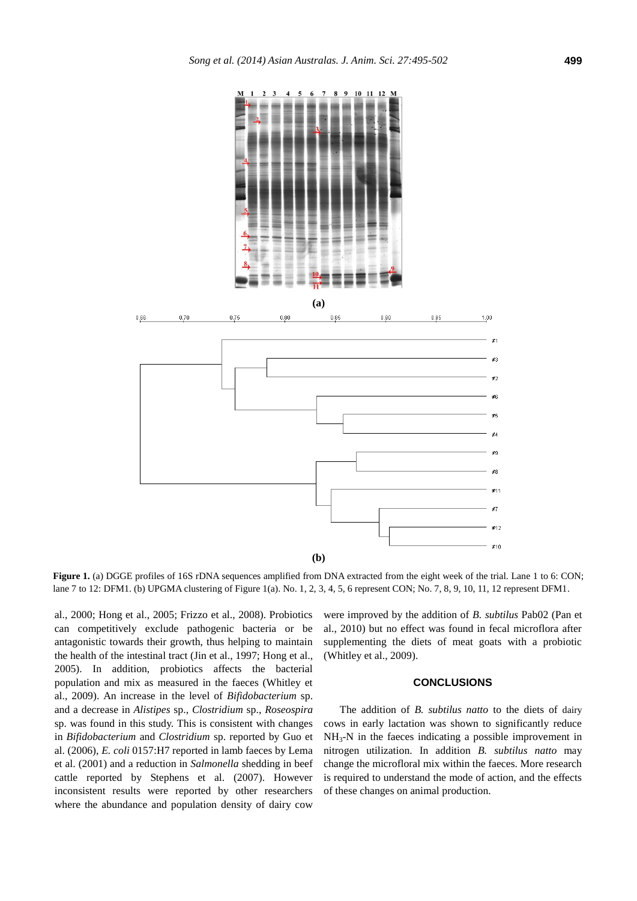

**Figure 1.** (a) DGGE profiles of 16S rDNA sequences amplified from DNA extracted from the eight week of the trial. Lane 1 to 6: CON; lane 7 to 12: DFM1. (b) UPGMA clustering of Figure 1(a). No. 1, 2, 3, 4, 5, 6 represent CON; No. 7, 8, 9, 10, 11, 12 represent DFM1.

al., 2000; Hong et al., 2005; Frizzo et al., 2008). Probiotics can competitively exclude pathogenic bacteria or be antagonistic towards their growth, thus helping to maintain the health of the intestinal tract (Jin et al., 1997; Hong et al., 2005). In addition, probiotics affects the bacterial population and mix as measured in the faeces (Whitley et al., 2009). An increase in the level of *Bifidobacterium* sp. and a decrease in *Alistipes* sp., *Clostridium* sp., *Roseospira*  sp. was found in this study. This is consistent with changes in *Bifidobacterium* and *Clostridium* sp. reported by Guo et al. (2006), *E. coli* 0157:H7 reported in lamb faeces by Lema et al. (2001) and a reduction in *Salmonella* shedding in beef cattle reported by Stephens et al. (2007). However inconsistent results were reported by other researchers where the abundance and population density of dairy cow

were improved by the addition of *B. subtilus* Pab02 (Pan et al., 2010) but no effect was found in fecal microflora after supplementing the diets of meat goats with a probiotic (Whitley et al., 2009).

# **CONCLUSIONS**

The addition of *B. subtilus natto* to the diets of dairy cows in early lactation was shown to significantly reduce NH3-N in the faeces indicating a possible improvement in nitrogen utilization. In addition *B. subtilus natto* may change the microfloral mix within the faeces. More research is required to understand the mode of action, and the effects of these changes on animal production.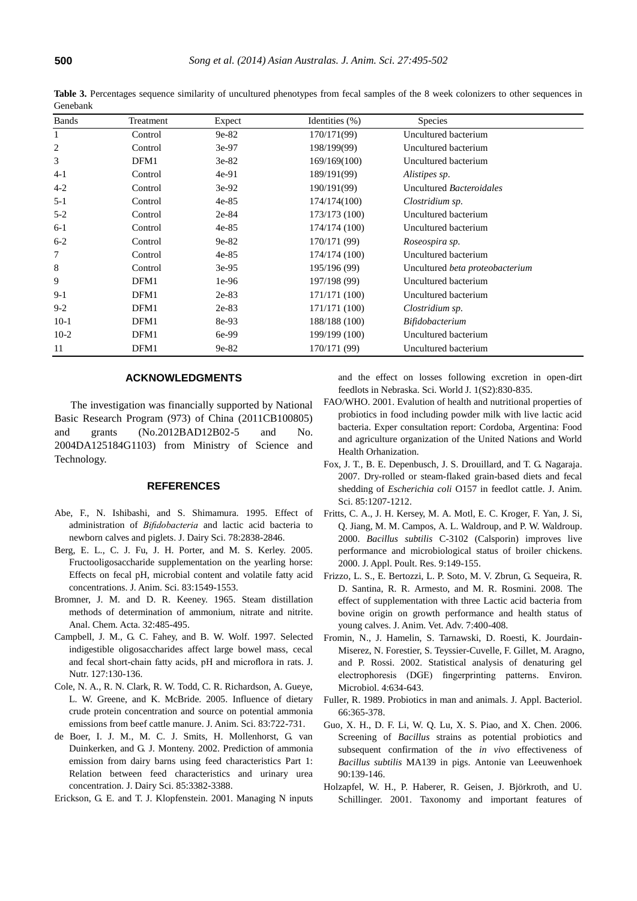| <b>Bands</b> | Treatment | Expect  | Identities $(\% )$ | <b>Species</b>                         |
|--------------|-----------|---------|--------------------|----------------------------------------|
| 1            | Control   | $9e-82$ | 170/171(99)        | Uncultured bacterium                   |
| 2            | Control   | 3e-97   | 198/199(99)        | Uncultured bacterium                   |
| 3            | DFM1      | $3e-82$ | 169/169(100)       | Uncultured bacterium                   |
| $4-1$        | Control   | $4e-91$ | 189/191(99)        | Alistipes sp.                          |
| $4 - 2$      | Control   | $3e-92$ | 190/191(99)        | Uncultured Bacteroidales               |
| $5 - 1$      | Control   | $4e-85$ | 174/174(100)       | Clostridium sp.                        |
| $5-2$        | Control   | 2e-84   | 173/173 (100)      | Uncultured bacterium                   |
| $6-1$        | Control   | $4e-85$ | 174/174 (100)      | Uncultured bacterium                   |
| $6 - 2$      | Control   | 9e-82   | 170/171 (99)       | Roseospira sp.                         |
| 7            | Control   | $4e-85$ | 174/174 (100)      | Uncultured bacterium                   |
| 8            | Control   | $3e-95$ | 195/196 (99)       | Uncultured <i>beta proteobacterium</i> |
| 9            | DFM1      | $1e-96$ | 197/198 (99)       | Uncultured bacterium                   |
| $9-1$        | DFM1      | 2e-83   | 171/171 (100)      | Uncultured bacterium                   |
| $9 - 2$      | DFM1      | $2e-83$ | 171/171 (100)      | Clostridium sp.                        |
| $10-1$       | DFM1      | 8e-93   | 188/188 (100)      | Bifidobacterium                        |
| $10-2$       | DFM1      | 6e-99   | 199/199 (100)      | Uncultured bacterium                   |
| 11           | DFM1      | 9e-82   | 170/171 (99)       | Uncultured bacterium                   |

**Table 3.** Percentages sequence similarity of uncultured phenotypes from fecal samples of the 8 week colonizers to other sequences in Genebank

#### **ACKNOWLEDGMENTS**

The investigation was financially supported by National Basic Research Program (973) of China (2011CB100805) and grants (No.2012BAD12B02-5 and No. 2004DA125184G1103) from Ministry of Science and Technology.

# **REFERENCES**

- Abe, F., N. Ishibashi, and S. Shimamura. 1995. [Effect of](http://www.sciencedirect.com/science/article/pii/S0022030295769144)  administration of *Bifidobacteria* [and lactic acid bacteria to](http://www.sciencedirect.com/science/article/pii/S0022030295769144)  [newborn calves and piglets.](http://www.sciencedirect.com/science/article/pii/S0022030295769144) J. Dairy Sci. 78:2838-2846.
- Berg, E. L., C. J. Fu, J. H. Porter, and M. S. Kerley. 2005. [Fructooligosaccharide supplementation on the yearling horse:](http://animalsci.highwire.org/content/83/7/1549.short)  [Effects on fecal pH, microbial content and volatile fatty acid](http://animalsci.highwire.org/content/83/7/1549.short)  [concentrations.](http://animalsci.highwire.org/content/83/7/1549.short) J. Anim. Sci. 83:1549-1553.
- Bromner, J. M. and D. R. Keeney. 1965. [Steam distillation](http://www.sciencedirect.com/science/article/pii/S0003267000889734)  [methods of determination of ammonium, nitrate and nitrite.](http://www.sciencedirect.com/science/article/pii/S0003267000889734)  Anal. Chem. Acta. 32:485-495.
- Campbell, J. M., G. C. Fahey, and B. W. Wolf. 1997. [Selected](http://nutrition.highwire.org/content/127/1/130.short)  [indigestible oligosaccharides affect large bowel mass, cecal](http://nutrition.highwire.org/content/127/1/130.short)  [and fecal short-chain fatty acids, pH and microflora in rats.](http://nutrition.highwire.org/content/127/1/130.short) J. Nutr. 127:130-136.
- Cole, N. A., R. N. Clark, R. W. Todd, C. R. Richardson, A. Gueye, L. W. Greene, and K. McBride. 2005. [Influence of dietary](http://www.animal-science.org/content/83/3/722.short)  [crude protein concentration and source on potential ammonia](http://www.animal-science.org/content/83/3/722.short)  [emissions from beef cattle manure.](http://www.animal-science.org/content/83/3/722.short) J. Anim. Sci. 83:722-731.
- de Boer, I. J. M., M. C. J. Smits, H. Mollenhorst, G. van Duinkerken, and G. J. Monteny. 2002. [Prediction of ammonia](http://www.sciencedirect.com/science/article/pii/S0022030202744251)  [emission from dairy barns using feed characteristics Part 1:](http://www.sciencedirect.com/science/article/pii/S0022030202744251)  [Relation between feed characteristics and urinary urea](http://www.sciencedirect.com/science/article/pii/S0022030202744251)  [concentration.](http://www.sciencedirect.com/science/article/pii/S0022030202744251) J. Dairy Sci. 85:3382-3388.

Erickson, G. E. and T. J. Klopfenstein. 2001. Managing N inputs

and the effect on losses following excretion in open-dirt feedlots in Nebraska. Sci. World J. 1(S2):830-835.

- FAO/WHO. 2001. Evalution of health and nutritional properties of probiotics in food including powder milk with live lactic acid bacteria. Exper consultation report: Cordoba, Argentina: Food and agriculture organization of the United Nations and World Health Orhanization.
- Fox, J. T., B. E. Depenbusch, J. S. Drouillard, and T. G. Nagaraja. 2007. [Dry-rolled or steam-flaked grain-based diets and fecal](http://www.journalofanimalscience.org/content/85/5/1207.short)  shedding of *Escherichia coli* [O157 in feedlot cattle.](http://www.journalofanimalscience.org/content/85/5/1207.short) J. Anim. Sci. 85:1207-1212.
- [Fritts,](http://japr.fass.org/search?author1=C.+A.+Fritts&sortspec=date&submit=Submit) C. A., J. H[. Kersey,](http://japr.fass.org/search?author1=J.+H.+Kersey&sortspec=date&submit=Submit) M. A. Motl, E. C. [Kroger,](http://japr.fass.org/search?author1=E.+C.+Kroger&sortspec=date&submit=Submit) F. [Yan,](http://japr.fass.org/search?author1=F.+Yan&sortspec=date&submit=Submit) J. [Si,](http://japr.fass.org/search?author1=J.+Si&sortspec=date&submit=Submit) Q. [Jiang,](http://japr.fass.org/search?author1=Q.+Jiang&sortspec=date&submit=Submit) M. M. Campos, A. L. [Waldroup,](http://japr.fass.org/search?author1=A.+L.+Waldroup&sortspec=date&submit=Submit) and [P. W. Waldroup.](http://japr.fass.org/search?author1=P.+W.+Waldroup&sortspec=date&submit=Submit) 2000. *Bacillus subtilis* [C-3102 \(Calsporin\) improves live](http://japr.fass.org/content/9/2/149.short)  [performance and microbiological status of broiler chickens.](http://japr.fass.org/content/9/2/149.short) 2000. J. Appl. Poult. Res. 9:149-155.
- Frizzo, L. S., E. Bertozzi, L. P. Soto, M. V. Zbrun, G. Sequeira, R. D. Santina, R. R. Armesto, and M. R. Rosmini. 2008. [The](http://www.docsdrive.com/pdfs/medwelljournals/javaa/2008/400-408.pdf)  [effect of supplementation with three Lactic acid bacteria from](http://www.docsdrive.com/pdfs/medwelljournals/javaa/2008/400-408.pdf)  [bovine origin on growth performance and health status of](http://www.docsdrive.com/pdfs/medwelljournals/javaa/2008/400-408.pdf)  [young calves.](http://www.docsdrive.com/pdfs/medwelljournals/javaa/2008/400-408.pdf) J. Anim. Vet. Adv. 7:400-408.
- Fromin, N., J. Hamelin, S. Tarnawski, D. Roesti, K. Jourdain-Miserez, N. Forestier, S. Teyssier-Cuvelle, F. Gillet, M. Aragno, and P. Rossi. 2002. [Statistical analysis of denaturing gel](http://onlinelibrary.wiley.com/doi/10.1046/j.1462-2920.2002.00358.x/abstract;jsessionid=AE5EB6D61B3D1B202C6AE214BC7642AD.f03t04?deniedAccessCustomisedMessage=&userIsAuthenticated=false)  [electrophoresis \(DGE\) fingerprinting patterns.](http://onlinelibrary.wiley.com/doi/10.1046/j.1462-2920.2002.00358.x/abstract;jsessionid=AE5EB6D61B3D1B202C6AE214BC7642AD.f03t04?deniedAccessCustomisedMessage=&userIsAuthenticated=false) Environ. Microbiol. 4:634-643.
- Fuller, R. 1989. [Probiotics in man and animals.](http://onlinelibrary.wiley.com/doi/10.1111/j.1365-2672.1989.tb05105.x/abstract) J. Appl. Bacteriol. 66:365-378.
- Guo, X. H., D. F. Li, W. Q. Lu, X. S. Piao, and X. Chen. 2006. Screening of *Bacillus* [strains as potential probiotics and](http://link.springer.com/article/10.1007/s10482-006-9067-9#page-1)  [subsequent confirmation of the](http://link.springer.com/article/10.1007/s10482-006-9067-9#page-1) *in vivo* effectiveness of *Bacillus subtilis* [MA139 in pigs.](http://link.springer.com/article/10.1007/s10482-006-9067-9#page-1) Antonie van Leeuwenhoek 90:139-146.
- Holzapfel, W. H., P. Haberer, R. Geisen, J. Björkroth, and U. Schillinger. 2001. [Taxonomy and important features of](http://ajcn.nutrition.org/content/73/2/365s.short)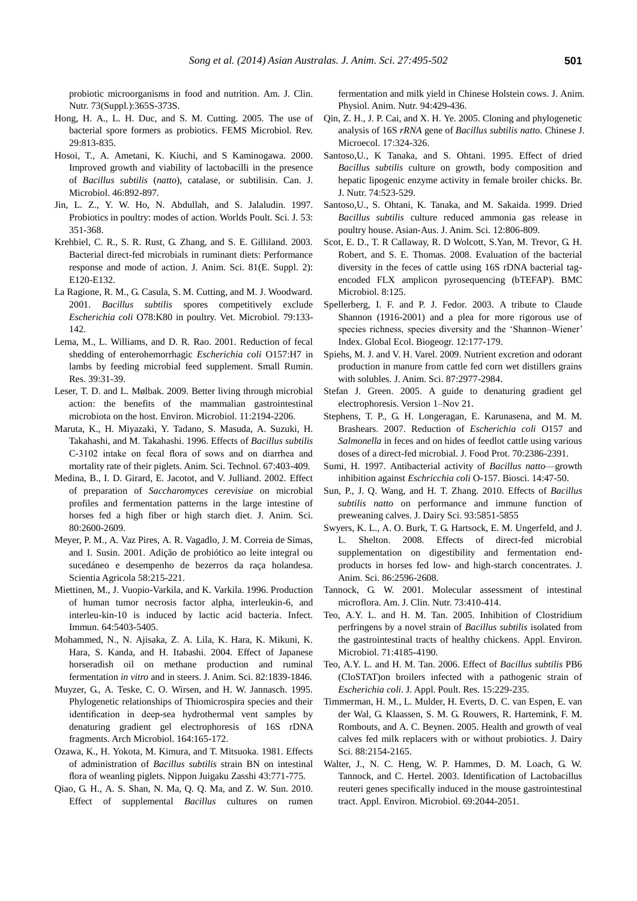probiotic microorganisms in food and nutrition. Am. J. Clin. Nutr. 73(Suppl.):365S-373S.

- Hong, H. A., L. H. Duc, and S. M. Cutting. 2005. [The use of](http://onlinelibrary.wiley.com/doi/10.1016/j.femsre.2004.12.001/full)  [bacterial spore formers as probiotics.](http://onlinelibrary.wiley.com/doi/10.1016/j.femsre.2004.12.001/full) FEMS Microbiol. Rev. 29:813-835.
- Hosoi, T., A. Ametani, K. Kiuchi, and S Kaminogawa. 2000. Improved growth [and viability of lactobacilli in the presence](http://www.nrcresearchpress.com/doi/abs/10.1139/w00-070#.Us5QQNJ_tY8)  of *Bacillus subtilis* (*natto*[\), catalase, or subtilisin.](http://www.nrcresearchpress.com/doi/abs/10.1139/w00-070#.Us5QQNJ_tY8) Can. J. Microbiol. 46:892-897.
- Jin, L. Z., Y. W. Ho, N. Abdullah, and S. Jalaludin. 1997. Probiotics in poultry: modes of action. Worlds Poult. Sci. J. 53: 351-368.
- Krehbiel, C. R., S. R. Rust, G. Zhang, and S. E. Gilliland. 2003. [Bacterial direct-fed microbials in ruminant diets: Performance](http://www.journalofanimalscience.org/content/81/14_suppl_2/E120.short)  [response and mode of action.](http://www.journalofanimalscience.org/content/81/14_suppl_2/E120.short) J. Anim. Sci. 81(E. Suppl. 2): E120-E132.
- La Ragione, R. M., G. Casula, S. M. Cutting, and M. J. Woodward. 2001. *Bacillus subtilis* [spores competitively exclude](http://www.sciencedirect.com/science/article/pii/S0378113500003503)  *Escherichia coli* [O78:K80 in poultry.](http://www.sciencedirect.com/science/article/pii/S0378113500003503) Vet. Microbiol. 79:133- 142.
- Lema, M., L. Williams, and D. R. Rao. 2001. [Reduction of fecal](http://www.sciencedirect.com/science/article/pii/S0921448800001681)  [shedding of enterohemorrhagic](http://www.sciencedirect.com/science/article/pii/S0921448800001681) *Escherichia coli* O157:H7 in [lambs by feeding microbial feed supplement.](http://www.sciencedirect.com/science/article/pii/S0921448800001681) Small Rumin. Res. 39:31-39.
- Leser, T. D. and L. Mølbak. 2009. [Better living through microbial](http://onlinelibrary.wiley.com/doi/10.1111/j.1462-2920.2009.01941.x/full)  action: the benefits of [the mammalian gastrointestinal](http://onlinelibrary.wiley.com/doi/10.1111/j.1462-2920.2009.01941.x/full)  [microbiota on the host.](http://onlinelibrary.wiley.com/doi/10.1111/j.1462-2920.2009.01941.x/full) Environ. Microbiol. 11:2194-2206.
- Maruta, K., H. Miyazaki, Y. Tadano, S. Masuda, A. Suzuki, H. Takahashi, and M. Takahashi. 1996. Effects of *Bacillus subtilis* C-3102 intake on fecal flora of sows and on diarrhea and mortality rate of their piglets. Anim. Sci. Technol. 67:403-409.
- Medina, B., I. D. Girard, E. Jacotot, and V. Julliand. 2002. [Effect](http://www.animal-science.org/content/80/10/2600.short)  of preparation of *[Saccharomyces cerevisiae](http://www.animal-science.org/content/80/10/2600.short)* on microbial [profiles and fermentation patterns in the large intestine of](http://www.animal-science.org/content/80/10/2600.short)  [horses fed a high fiber or high starch diet.](http://www.animal-science.org/content/80/10/2600.short) J. Anim. Sci. 80:2600-2609.
- Meyer, P. M., A. Vaz Pires, A. R. Vagadlo, J. M. Correia de Simas, and I. Susin. 2001. [Adição de probiótico ao leite integral ou](http://www.scielo.br/pdf/sa/v58n2/4409.pdf)  [sucedáneo e desempenho de bezerros da raça holandesa.](http://www.scielo.br/pdf/sa/v58n2/4409.pdf) Scientia Agricola 58:215-221.
- Miettinen, M., J. Vuopio-Varkila, and K. Varkila. 1996. [Production](http://iai.asm.org/content/64/12/5403.short)  [of human tumor necrosis factor alpha, interleukin-6, and](http://iai.asm.org/content/64/12/5403.short)  [interleu-kin-10 is induced by lactic acid bacteria.](http://iai.asm.org/content/64/12/5403.short) Infect. Immun. 64:5403-5405.
- Mohammed, N., N. Ajisaka, Z. A. Lila, K. Hara, K. Mikuni, K. Hara, S. Kanda, and H. Itabashi. 2004. [Effect of Japanese](http://www.journalofanimalscience.org/content/82/6/1839.short)  [horseradish oil on methane production and ruminal](http://www.journalofanimalscience.org/content/82/6/1839.short)  [fermentation](http://www.journalofanimalscience.org/content/82/6/1839.short) *in vitro* and in steers. J. Anim. Sci. 82:1839-1846.
- Muyzer, G., A. Teske, C. O. Wirsen, and H. W. Jannasch. 1995. [Phylogenetic relationships of Thiomicrospira species and their](http://link.springer.com/article/10.1007/BF02529967#page-1)  [identification in deep-sea hydrothermal vent samples by](http://link.springer.com/article/10.1007/BF02529967#page-1)  [denaturing gradient gel electrophoresis of 16S rDNA](http://link.springer.com/article/10.1007/BF02529967#page-1)  [fragments.](http://link.springer.com/article/10.1007/BF02529967#page-1) Arch Microbiol. 164:165-172.
- Ozawa, K., H. Yokota, M. Kimura, and T. Mitsuoka. 1981. Effects of administration of *Bacillus subtilis* strain BN on intestinal flora of weanling piglets. Nippon Juigaku Zasshi 43:771-775.
- Qiao, G. H., A. S. Shan, N. Ma, Q. Q. Ma, and Z. W. Sun. 2010. [Effect of supplemental](http://onlinelibrary.wiley.com/doi/10.1111/j.1439-0396.2009.00926.x/abstract?deniedAccessCustomisedMessage=&userIsAuthenticated=false) *Bacillus* cultures on rumen

[fermentation and milk yield in Chinese Holstein cows.](http://onlinelibrary.wiley.com/doi/10.1111/j.1439-0396.2009.00926.x/abstract?deniedAccessCustomisedMessage=&userIsAuthenticated=false) J. Anim. Physiol. Anim. Nutr. 94:429-436.

- Qin, Z. H., J. P. Cai, and X. H. Ye. 2005. Cloning and phylogenetic analysis of 16S *rRNA* gene of *Bacillus subtilis natto*. Chinese J. Microecol. 17:324-326.
- Santoso,U., K Tanaka, and S. Ohtani. 1995. [Effect of dried](http://journals.cambridge.org/action/displayAbstract?fromPage=online&aid=875920) *Bacillus subtilis* [culture on growth, body composition and](http://journals.cambridge.org/action/displayAbstract?fromPage=online&aid=875920) [hepatic lipogenic enzyme activity in female broiler](http://journals.cambridge.org/action/displayAbstract?fromPage=online&aid=875920) chicks. Br. J. Nutr. 74:523-529.
- Santoso,U., S. Ohtani, K. Tanaka, and M. Sakaida. 1999. [Dried](http://www.ajas.info/Editor/manuscript/upload/12-113.pdf)  *Bacillus subtilis* [culture reduced ammonia gas release in](http://www.ajas.info/Editor/manuscript/upload/12-113.pdf)  [poultry house.](http://www.ajas.info/Editor/manuscript/upload/12-113.pdf) Asian-Aus. J. Anim. Sci. 12:806-809.
- Scot, E. D., T. R Callaway, R. D Wolcott, S.Yan, M. Trevor, G. H. Robert, and S. E. Thomas. 2008. [Evaluation of the bacterial](http://www.biomedcentral.com/1471-2180/8/125/)  [diversity in the feces of cattle using 16S rDNA bacterial tag](http://www.biomedcentral.com/1471-2180/8/125/)[encoded FLX amplicon pyrosequencing \(bTEFAP\).](http://www.biomedcentral.com/1471-2180/8/125/) BMC Microbiol. 8:125.
- Spellerberg, I. F. and P. J. Fedor. 2003. [A tribute to Claude](http://onlinelibrary.wiley.com/doi/10.1046/j.1466-822X.2003.00015.x/abstract?deniedAccessCustomisedMessage=&userIsAuthenticated=false)  [Shannon \(1916-2001\) and a plea for more rigorous use of](http://onlinelibrary.wiley.com/doi/10.1046/j.1466-822X.2003.00015.x/abstract?deniedAccessCustomisedMessage=&userIsAuthenticated=false)  [species richness, species diversity and the 'Shannon–Wiener'](http://onlinelibrary.wiley.com/doi/10.1046/j.1466-822X.2003.00015.x/abstract?deniedAccessCustomisedMessage=&userIsAuthenticated=false)  [Index.](http://onlinelibrary.wiley.com/doi/10.1046/j.1466-822X.2003.00015.x/abstract?deniedAccessCustomisedMessage=&userIsAuthenticated=false) Global Ecol. Biogeogr. 12:177-179.
- Spiehs, M. J. and V. H. Varel. 2009[. Nutrient excretion and odorant](http://www.journalofanimalscience.org/content/87/9/2977.short)  [production in manure from cattle fed corn wet distillers grains](http://www.journalofanimalscience.org/content/87/9/2977.short)  [with solubles.](http://www.journalofanimalscience.org/content/87/9/2977.short) J. Anim. Sci. 87:2977-2984.
- Stefan J. Green. 2005. A guide to denaturing gradient gel electrophoresis. Version 1–Nov 21.
- Stephens, T. P., G. H. Longeragan, E. Karunasena, and M. M. Brashears. 2007. Reduction of *[Escherichia coli](http://www.ingentaconnect.com/content/iafp/jfp/2007/00000070/00000010/art00023)* O157 and *Salmonella* [in feces and on hides of feedlot cattle using various](http://www.ingentaconnect.com/content/iafp/jfp/2007/00000070/00000010/art00023)  [doses of a direct-fed microbial.](http://www.ingentaconnect.com/content/iafp/jfp/2007/00000070/00000010/art00023) J. Food Prot. 70:2386-2391.
- Sumi, H. 1997. Antibacterial activity of *Bacillus natto*—growth inhibition against *Eschricchia coli* O-157. Biosci. 14:47-50.
- Sun, P., J. Q. Wang, and H. T. Zhang. 2010. [Effects of](http://www.sciencedirect.com/science/article/pii/S0022030210006363) *Bacillus subtilis natto* [on performance and immune function of](http://www.sciencedirect.com/science/article/pii/S0022030210006363)  [preweaning calves.](http://www.sciencedirect.com/science/article/pii/S0022030210006363) J. Dairy Sci. 93:5851-5855
- Swyers, K. L., A. O. Burk, T. G. Hartsock, E. M. Ungerfeld, and J. L. Shelton. 2008. [Effects of direct-fed microbial](http://www.animal-science.org/content/86/10/2596.short)  [supplementation on digestibility and fermentation end](http://www.animal-science.org/content/86/10/2596.short)products in horses fed low- [and high-starch concentrates.](http://www.animal-science.org/content/86/10/2596.short) J. Anim. Sci. 86:2596-2608.
- Tannock, G. W. 2001. Molecular assessment of intestinal microflora. Am. J. Clin. Nutr. 73:410-414.
- Teo, A.Y. L. and H. M. Tan. 2005. [Inhibition of Clostridium](http://aem.asm.org/content/71/8/4185.short)  [perfringens by a novel strain of](http://aem.asm.org/content/71/8/4185.short) *Bacillus subtilis* isolated from [the gastrointestinal tracts of healthy chickens.](http://aem.asm.org/content/71/8/4185.short) Appl. Environ. Microbiol. 71:4185-4190.
- Teo, A.Y. L. and H. M. Tan. 2006. Effect of *[Bacillus subtilis](http://japr.fass.org/content/15/2/229.short)* PB6 [\(CloSTAT\)on broilers infected with a pathogenic strain of](http://japr.fass.org/content/15/2/229.short)  *[Escherichia coli](http://japr.fass.org/content/15/2/229.short)*. J. Appl. Poult. Res. 15:229-235.
- Timmerman, H. M., L. Mulder, H. Everts, D. C. van Espen, E. van der Wal, G. Klaassen, S. M. G. Rouwers, R. Hartemink, F. M. Rombouts, and A. C. Beynen. 2005. [Health and growth of veal](http://www.sciencedirect.com/science/article/pii/S0022030205728915)  [calves fed milk replacers with or without probiotics.](http://www.sciencedirect.com/science/article/pii/S0022030205728915) J. Dairy Sci. 88:2154-2165.
- Walter, J., N. C. Heng, W. P. Hammes, D. M. Loach, G. W. Tannock, and C. Hertel. 2003. [Identification of Lactobacillus](http://aem.asm.org/content/69/4/2044.short)  [reuteri genes specifically induced in the mouse gastrointestinal](http://aem.asm.org/content/69/4/2044.short)  [tract.](http://aem.asm.org/content/69/4/2044.short) Appl. Environ. Microbiol. 69:2044-2051.